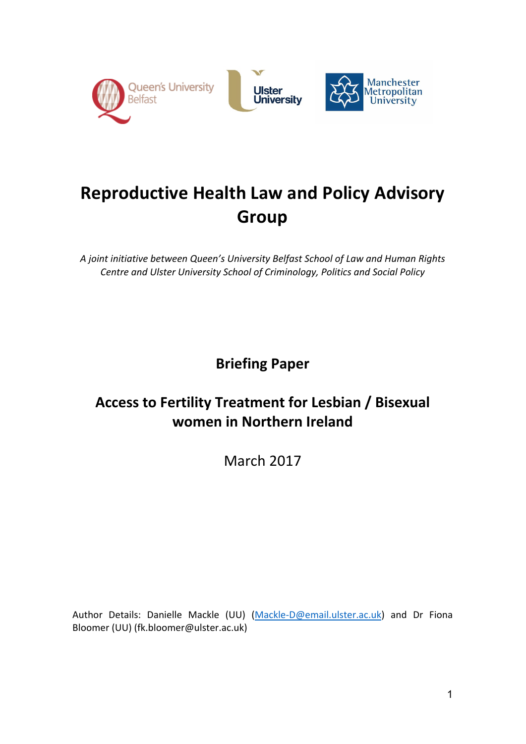

# **Reproductive Health Law and Policy Advisory Group**

A joint initiative between Queen's University Belfast School of Law and Human Rights **Centre and Ulster University School of Criminology, Politics and Social Policy** 

**Briefing Paper** 

# **Access to Fertility Treatment for Lesbian / Bisexual women in Northern Ireland**

March 2017

Author Details: Danielle Mackle (UU) (Mackle-D@email.ulster.ac.uk) and Dr Fiona Bloomer (UU) (fk.bloomer@ulster.ac.uk)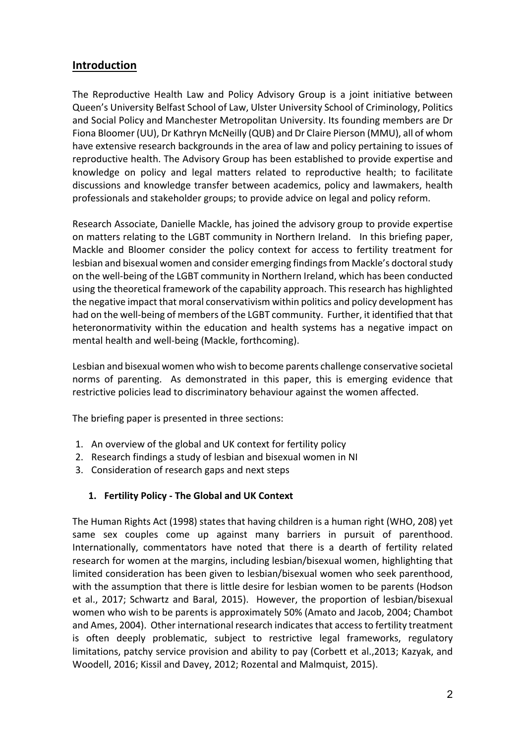# **Introduction**

The Reproductive Health Law and Policy Advisory Group is a joint initiative between Queen's University Belfast School of Law, Ulster University School of Criminology, Politics and Social Policy and Manchester Metropolitan University. Its founding members are Dr Fiona Bloomer (UU), Dr Kathryn McNeilly (QUB) and Dr Claire Pierson (MMU), all of whom have extensive research backgrounds in the area of law and policy pertaining to issues of reproductive health. The Advisory Group has been established to provide expertise and knowledge on policy and legal matters related to reproductive health; to facilitate discussions and knowledge transfer between academics, policy and lawmakers, health professionals and stakeholder groups; to provide advice on legal and policy reform.

Research Associate, Danielle Mackle, has joined the advisory group to provide expertise on matters relating to the LGBT community in Northern Ireland. In this briefing paper, Mackle and Bloomer consider the policy context for access to fertility treatment for lesbian and bisexual women and consider emerging findings from Mackle's doctoral study on the well-being of the LGBT community in Northern Ireland, which has been conducted using the theoretical framework of the capability approach. This research has highlighted the negative impact that moral conservativism within politics and policy development has had on the well-being of members of the LGBT community. Further, it identified that that heteronormativity within the education and health systems has a negative impact on mental health and well-being (Mackle, forthcoming).

Lesbian and bisexual women who wish to become parents challenge conservative societal norms of parenting. As demonstrated in this paper, this is emerging evidence that restrictive policies lead to discriminatory behaviour against the women affected.

The briefing paper is presented in three sections:

- 1. An overview of the global and UK context for fertility policy
- 2. Research findings a study of lesbian and bisexual women in NI
- 3. Consideration of research gaps and next steps

## **1. Fertility Policy - The Global and UK Context**

The Human Rights Act (1998) states that having children is a human right (WHO, 208) yet same sex couples come up against many barriers in pursuit of parenthood. Internationally, commentators have noted that there is a dearth of fertility related research for women at the margins, including lesbian/bisexual women, highlighting that limited consideration has been given to lesbian/bisexual women who seek parenthood, with the assumption that there is little desire for lesbian women to be parents (Hodson et al., 2017; Schwartz and Baral, 2015). However, the proportion of lesbian/bisexual women who wish to be parents is approximately 50% (Amato and Jacob, 2004; Chambot and Ames, 2004). Other international research indicates that access to fertility treatment is often deeply problematic, subject to restrictive legal frameworks, regulatory limitations, patchy service provision and ability to pay (Corbett et al.,2013; Kazyak, and Woodell, 2016; Kissil and Davey, 2012; Rozental and Malmquist, 2015).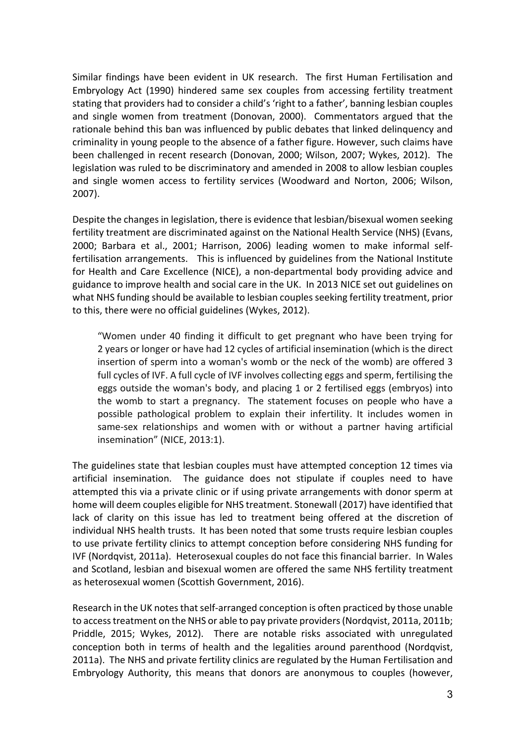Similar findings have been evident in UK research. The first Human Fertilisation and Embryology Act (1990) hindered same sex couples from accessing fertility treatment stating that providers had to consider a child's 'right to a father', banning lesbian couples and single women from treatment (Donovan, 2000). Commentators argued that the rationale behind this ban was influenced by public debates that linked delinquency and criminality in young people to the absence of a father figure. However, such claims have been challenged in recent research (Donovan, 2000; Wilson, 2007; Wykes, 2012). The legislation was ruled to be discriminatory and amended in 2008 to allow lesbian couples and single women access to fertility services (Woodward and Norton, 2006; Wilson, 2007).

Despite the changes in legislation, there is evidence that lesbian/bisexual women seeking fertility treatment are discriminated against on the National Health Service (NHS) (Evans, 2000; Barbara et al., 2001; Harrison, 2006) leading women to make informal selffertilisation arrangements. This is influenced by guidelines from the National Institute for Health and Care Excellence (NICE), a non-departmental body providing advice and guidance to improve health and social care in the UK. In 2013 NICE set out guidelines on what NHS funding should be available to lesbian couples seeking fertility treatment, prior to this, there were no official guidelines (Wykes, 2012).

"Women under 40 finding it difficult to get pregnant who have been trying for 2 years or longer or have had 12 cycles of artificial insemination (which is the direct insertion of sperm into a woman's womb or the neck of the womb) are offered 3 full cycles of IVF. A full cycle of IVF involves collecting eggs and sperm, fertilising the eggs outside the woman's body, and placing 1 or 2 fertilised eggs (embryos) into the womb to start a pregnancy. The statement focuses on people who have a possible pathological problem to explain their infertility. It includes women in same-sex relationships and women with or without a partner having artificial insemination" (NICE, 2013:1).

The guidelines state that lesbian couples must have attempted conception 12 times via artificial insemination. The guidance does not stipulate if couples need to have attempted this via a private clinic or if using private arrangements with donor sperm at home will deem couples eligible for NHS treatment. Stonewall (2017) have identified that lack of clarity on this issue has led to treatment being offered at the discretion of individual NHS health trusts. It has been noted that some trusts require lesbian couples to use private fertility clinics to attempt conception before considering NHS funding for IVF (Nordqvist, 2011a). Heterosexual couples do not face this financial barrier. In Wales and Scotland, lesbian and bisexual women are offered the same NHS fertility treatment as heterosexual women (Scottish Government, 2016).

Research in the UK notes that self-arranged conception is often practiced by those unable to access treatment on the NHS or able to pay private providers (Nordqvist, 2011a, 2011b; Priddle, 2015; Wykes, 2012). There are notable risks associated with unregulated conception both in terms of health and the legalities around parenthood (Nordqvist, 2011a). The NHS and private fertility clinics are regulated by the Human Fertilisation and Embryology Authority, this means that donors are anonymous to couples (however,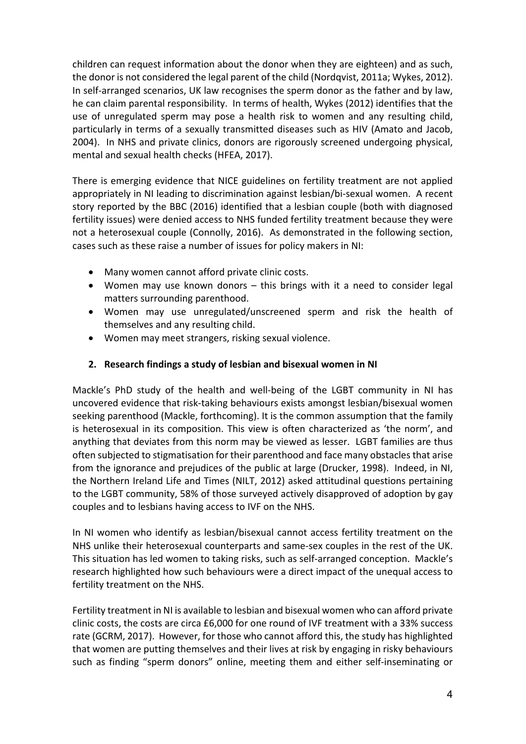children can request information about the donor when they are eighteen) and as such. the donor is not considered the legal parent of the child (Nordqvist, 2011a; Wykes, 2012). In self-arranged scenarios, UK law recognises the sperm donor as the father and by law, he can claim parental responsibility. In terms of health, Wykes (2012) identifies that the use of unregulated sperm may pose a health risk to women and any resulting child, particularly in terms of a sexually transmitted diseases such as HIV (Amato and Jacob, 2004). In NHS and private clinics, donors are rigorously screened undergoing physical, mental and sexual health checks (HFEA, 2017).

There is emerging evidence that NICE guidelines on fertility treatment are not applied appropriately in NI leading to discrimination against lesbian/bi-sexual women. A recent story reported by the BBC (2016) identified that a lesbian couple (both with diagnosed fertility issues) were denied access to NHS funded fertility treatment because they were not a heterosexual couple (Connolly, 2016). As demonstrated in the following section, cases such as these raise a number of issues for policy makers in NI:

- Many women cannot afford private clinic costs.
- Women may use known donors this brings with it a need to consider legal matters surrounding parenthood.
- Women may use unregulated/unscreened sperm and risk the health of themselves and any resulting child.
- Women may meet strangers, risking sexual violence.

### **2.** Research findings a study of lesbian and bisexual women in NI

Mackle's PhD study of the health and well-being of the LGBT community in NI has uncovered evidence that risk-taking behaviours exists amongst lesbian/bisexual women seeking parenthood (Mackle, forthcoming). It is the common assumption that the family is heterosexual in its composition. This view is often characterized as 'the norm', and anything that deviates from this norm may be viewed as lesser. LGBT families are thus often subjected to stigmatisation for their parenthood and face many obstacles that arise from the ignorance and prejudices of the public at large (Drucker, 1998). Indeed, in NI, the Northern Ireland Life and Times (NILT, 2012) asked attitudinal questions pertaining to the LGBT community, 58% of those surveyed actively disapproved of adoption by gay couples and to lesbians having access to IVF on the NHS.

In NI women who identify as lesbian/bisexual cannot access fertility treatment on the NHS unlike their heterosexual counterparts and same-sex couples in the rest of the UK. This situation has led women to taking risks, such as self-arranged conception. Mackle's research highlighted how such behaviours were a direct impact of the unequal access to fertility treatment on the NHS.

Fertility treatment in NI is available to lesbian and bisexual women who can afford private clinic costs, the costs are circa £6,000 for one round of IVF treatment with a 33% success rate (GCRM, 2017). However, for those who cannot afford this, the study has highlighted that women are putting themselves and their lives at risk by engaging in risky behaviours such as finding "sperm donors" online, meeting them and either self-inseminating or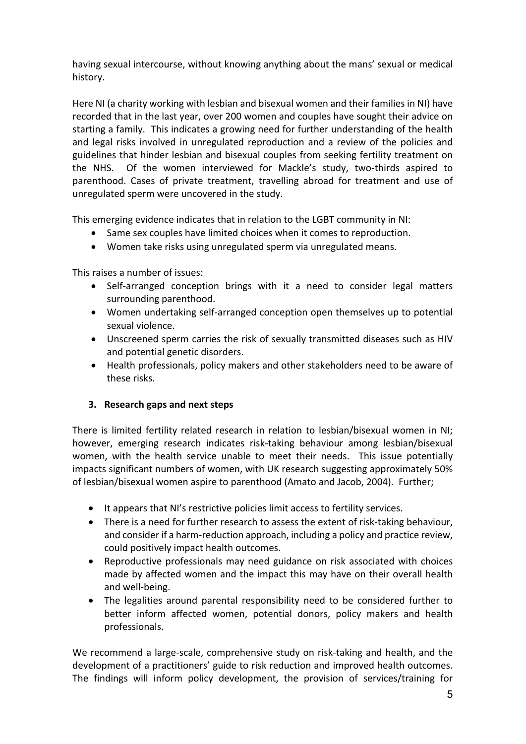having sexual intercourse, without knowing anything about the mans' sexual or medical history.

Here NI (a charity working with lesbian and bisexual women and their families in NI) have recorded that in the last year, over 200 women and couples have sought their advice on starting a family. This indicates a growing need for further understanding of the health and legal risks involved in unregulated reproduction and a review of the policies and guidelines that hinder lesbian and bisexual couples from seeking fertility treatment on the NHS. Of the women interviewed for Mackle's study, two-thirds aspired to parenthood. Cases of private treatment, travelling abroad for treatment and use of unregulated sperm were uncovered in the study.

This emerging evidence indicates that in relation to the LGBT community in NI:

- Same sex couples have limited choices when it comes to reproduction.
- Women take risks using unregulated sperm via unregulated means.

This raises a number of issues:

- Self-arranged conception brings with it a need to consider legal matters surrounding parenthood.
- Women undertaking self-arranged conception open themselves up to potential sexual violence.
- Unscreened sperm carries the risk of sexually transmitted diseases such as HIV and potential genetic disorders.
- Health professionals, policy makers and other stakeholders need to be aware of these risks.

#### **3.** Research gaps and next steps

There is limited fertility related research in relation to lesbian/bisexual women in NI; however, emerging research indicates risk-taking behaviour among lesbian/bisexual women, with the health service unable to meet their needs. This issue potentially impacts significant numbers of women, with UK research suggesting approximately 50% of lesbian/bisexual women aspire to parenthood (Amato and Jacob, 2004). Further;

- It appears that NI's restrictive policies limit access to fertility services.
- There is a need for further research to assess the extent of risk-taking behaviour, and consider if a harm-reduction approach, including a policy and practice review, could positively impact health outcomes.
- Reproductive professionals may need guidance on risk associated with choices made by affected women and the impact this may have on their overall health and well-being.
- The legalities around parental responsibility need to be considered further to better inform affected women, potential donors, policy makers and health professionals.

We recommend a large-scale, comprehensive study on risk-taking and health, and the development of a practitioners' guide to risk reduction and improved health outcomes. The findings will inform policy development, the provision of services/training for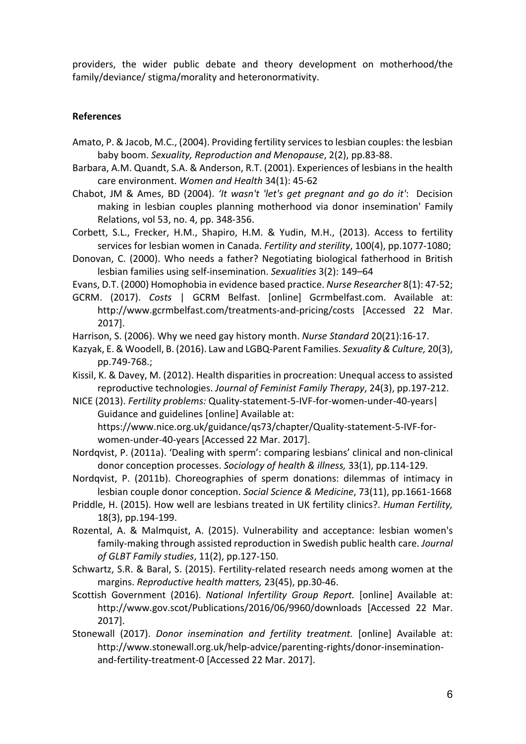providers, the wider public debate and theory development on motherhood/the family/deviance/ stigma/morality and heteronormativity.

#### **References**

- Amato, P. & Jacob, M.C., (2004). Providing fertility services to lesbian couples: the lesbian baby boom. Sexuality, Reproduction and Menopause, 2(2), pp.83-88.
- Barbara, A.M. Quandt, S.A. & Anderson, R.T. (2001). Experiences of lesbians in the health care environment. *Women and Health* 34(1): 45-62
- Chabot, JM & Ames, BD (2004). 'It wasn't 'let's get pregnant and go do it': Decision making in lesbian couples planning motherhood via donor insemination' Family Relations, vol 53, no. 4, pp. 348-356.
- Corbett, S.L., Frecker, H.M., Shapiro, H.M. & Yudin, M.H., (2013). Access to fertility services for lesbian women in Canada. Fertility and sterility, 100(4), pp.1077-1080;
- Donovan, C. (2000). Who needs a father? Negotiating biological fatherhood in British lesbian families using self-insemination. Sexualities 3(2): 149-64
- Evans, D.T. (2000) Homophobia in evidence based practice. *Nurse Researcher* 8(1): 47-52;
- GCRM. (2017). *Costs* | GCRM Belfast. [online] Gcrmbelfast.com. Available at: http://www.gcrmbelfast.com/treatments-and-pricing/costs [Accessed 22 Mar. 2017].
- Harrison, S. (2006). Why we need gay history month. *Nurse Standard* 20(21):16-17.
- Kazyak, E. & Woodell, B. (2016). Law and LGBQ-Parent Families. Sexuality & Culture, 20(3), pp.749-768.;
- Kissil, K. & Davey, M. (2012). Health disparities in procreation: Unequal access to assisted reproductive technologies. Journal of Feminist Family Therapy, 24(3), pp.197-212.
- NICE (2013). Fertility problems: Quality-statement-5-IVF-for-women-under-40-years| Guidance and guidelines [online] Available at: https://www.nice.org.uk/guidance/qs73/chapter/Quality-statement-5-IVF-forwomen-under-40-years [Accessed 22 Mar. 2017].
- Nordqvist, P. (2011a). 'Dealing with sperm': comparing lesbians' clinical and non-clinical donor conception processes. *Sociology of health & illness*, 33(1), pp.114-129.
- Nordqvist, P. (2011b). Choreographies of sperm donations: dilemmas of intimacy in lesbian couple donor conception. *Social Science & Medicine*, 73(11), pp.1661-1668
- Priddle, H. (2015). How well are lesbians treated in UK fertility clinics?. *Human Fertility*, 18(3), pp.194-199.
- Rozental, A. & Malmquist, A. (2015). Vulnerability and acceptance: lesbian women's family-making through assisted reproduction in Swedish public health care. *Journal of GLBT Family studies*, 11(2), pp.127-150.
- Schwartz, S.R. & Baral, S. (2015). Fertility-related research needs among women at the margins. *Reproductive health matters*, 23(45), pp.30-46.
- Scottish Government (2016). *National Infertility Group Report.* [online] Available at: http://www.gov.scot/Publications/2016/06/9960/downloads [Accessed 22 Mar. 2017].
- Stonewall (2017). *Donor insemination and fertility treatment*. [online] Available at: http://www.stonewall.org.uk/help-advice/parenting-rights/donor-inseminationand-fertility-treatment-0 [Accessed 22 Mar. 2017].